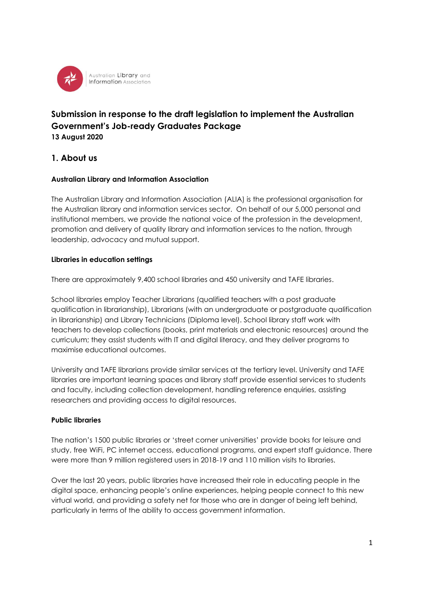

# **Submission in response to the draft legislation to implement the Australian Government's Job-ready Graduates Package 13 August 2020**

## **1. About us**

### **Australian Library and Information Association**

The Australian Library and Information Association (ALIA) is the professional organisation for the Australian library and information services sector. On behalf of our 5,000 personal and institutional members, we provide the national voice of the profession in the development, promotion and delivery of quality library and information services to the nation, through leadership, advocacy and mutual support.

#### **Libraries in education settings**

There are approximately 9,400 school libraries and 450 university and TAFE libraries.

School libraries employ Teacher Librarians (qualified teachers with a post graduate qualification in librarianship), Librarians (with an undergraduate or postgraduate qualification in librarianship) and Library Technicians (Diploma level). School library staff work with teachers to develop collections (books, print materials and electronic resources) around the curriculum; they assist students with IT and digital literacy, and they deliver programs to maximise educational outcomes.

University and TAFE librarians provide similar services at the tertiary level. University and TAFE libraries are important learning spaces and library staff provide essential services to students and faculty, including collection development, handling reference enquiries, assisting researchers and providing access to digital resources.

### **Public libraries**

The nation's 1500 public libraries or 'street corner universities' provide books for leisure and study, free WiFi, PC internet access, educational programs, and expert staff guidance. There were more than 9 million registered users in 2018-19 and 110 million visits to libraries.

Over the last 20 years, public libraries have increased their role in educating people in the digital space, enhancing people's online experiences, helping people connect to this new virtual world, and providing a safety net for those who are in danger of being left behind, particularly in terms of the ability to access government information.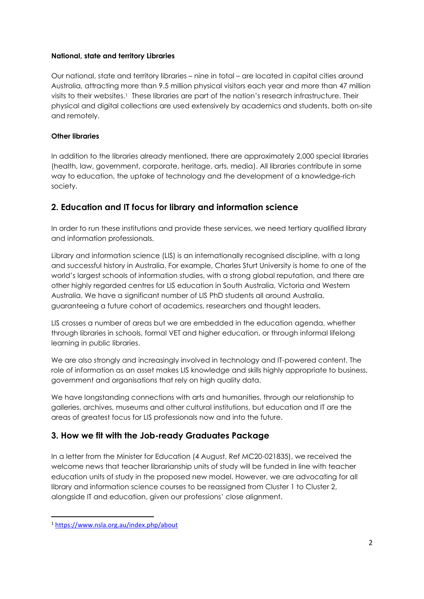### **National, state and territory Libraries**

Our national, state and territory libraries – nine in total – are located in capital cities around Australia, attracting more than 9.5 million physical visitors each year and more than 47 million visits to their websites.<sup>1</sup> These libraries are part of the nation's research infrastructure. Their physical and digital collections are used extensively by academics and students, both on-site and remotely.

### **Other libraries**

In addition to the libraries already mentioned, there are approximately 2,000 special libraries (health, law, government, corporate, heritage, arts, media). All libraries contribute in some way to education, the uptake of technology and the development of a knowledge-rich society.

# **2. Education and IT focus for library and information science**

In order to run these institutions and provide these services, we need tertiary qualified library and information professionals.

Library and information science (LIS) is an internationally recognised discipline, with a long and successful history in Australia. For example, Charles Sturt University is home to one of the world's largest schools of information studies, with a strong global reputation, and there are other highly regarded centres for LIS education in South Australia, Victoria and Western Australia. We have a significant number of LIS PhD students all around Australia, guaranteeing a future cohort of academics, researchers and thought leaders.

LIS crosses a number of areas but we are embedded in the education agenda, whether through libraries in schools, formal VET and higher education, or through informal lifelong learning in public libraries.

We are also strongly and increasingly involved in technology and IT-powered content. The role of information as an asset makes LIS knowledge and skills highly appropriate to business, government and organisations that rely on high quality data.

We have longstanding connections with arts and humanities, through our relationship to galleries, archives, museums and other cultural institutions, but education and IT are the areas of greatest focus for LIS professionals now and into the future.

## **3. How we fit with the Job-ready Graduates Package**

In a letter from the Minister for Education (4 August, Ref MC20-021835), we received the welcome news that teacher librarianship units of study will be funded in line with teacher education units of study in the proposed new model. However, we are advocating for all library and information science courses to be reassigned from Cluster 1 to Cluster 2, alongside IT and education, given our professions' close alignment.

<sup>1</sup> <https://www.nsla.org.au/index.php/about>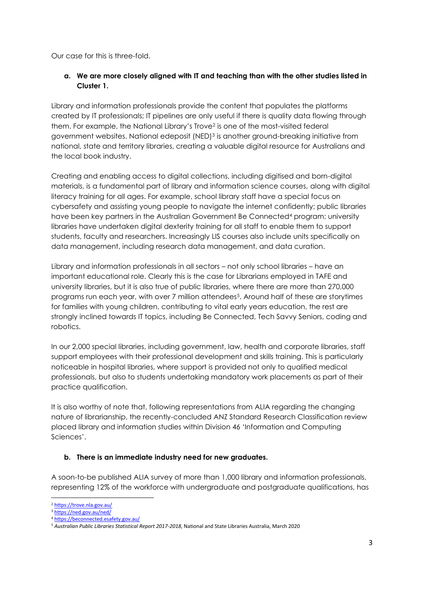Our case for this is three-fold.

### **a. We are more closely aligned with IT and teaching than with the other studies listed in Cluster 1.**

Library and information professionals provide the content that populates the platforms created by IT professionals; IT pipelines are only useful if there is quality data flowing through them. For example, the National Library's Trove<sup>2</sup> is one of the most-visited federal government websites. National edeposit (NED)<sup>3</sup> is another ground-breaking initiative from national, state and territory libraries, creating a valuable digital resource for Australians and the local book industry.

Creating and enabling access to digital collections, including digitised and born-digital materials, is a fundamental part of library and information science courses, along with digital literacy training for all ages. For example, school library staff have a special focus on cybersafety and assisting young people to navigate the internet confidently; public libraries have been key partners in the Australian Government Be Connected<sup>4</sup> program; university libraries have undertaken digital dexterity training for all staff to enable them to support students, faculty and researchers. Increasingly LIS courses also include units specifically on data management, including research data management, and data curation.

Library and information professionals in all sectors – not only school libraries – have an important educational role. Clearly this is the case for Librarians employed in TAFE and university libraries, but it is also true of public libraries, where there are more than 270,000 programs run each year, with over 7 million attendees5. Around half of these are storytimes for families with young children, contributing to vital early years education, the rest are strongly inclined towards IT topics, including Be Connected, Tech Savvy Seniors, coding and robotics.

In our 2,000 special libraries, including government, law, health and corporate libraries, staff support employees with their professional development and skills training. This is particularly noticeable in hospital libraries, where support is provided not only to qualified medical professionals, but also to students undertaking mandatory work placements as part of their practice qualification.

It is also worthy of note that, following representations from ALIA regarding the changing nature of librarianship, the recently-concluded ANZ Standard Research Classification review placed library and information studies within Division 46 'Information and Computing Sciences'.

### **b. There is an immediate industry need for new graduates.**

A soon-to-be published ALIA survey of more than 1,000 library and information professionals, representing 12% of the workforce with undergraduate and postgraduate qualifications, has

<sup>2</sup> <https://trove.nla.gov.au/>

<sup>&</sup>lt;sup>3</sup> <https://ned.gov.au/ned/>

<sup>4</sup> <https://beconnected.esafety.gov.au/>

<sup>5</sup> *Australian Public Libraries Statistical Report 2017-2018*, National and State Libraries Australia, March 2020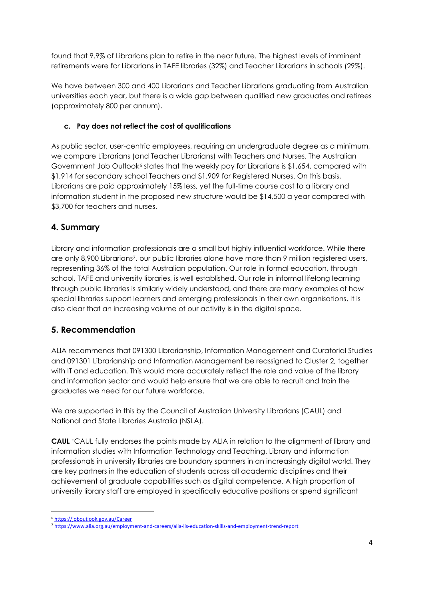found that 9.9% of Librarians plan to retire in the near future. The highest levels of imminent retirements were for Librarians in TAFE libraries (32%) and Teacher Librarians in schools (29%).

We have between 300 and 400 Librarians and Teacher Librarians graduating from Australian universities each year, but there is a wide gap between qualified new graduates and retirees (approximately 800 per annum).

## **c. Pay does not reflect the cost of qualifications**

As public sector, user-centric employees, requiring an undergraduate degree as a minimum, we compare Librarians (and Teacher Librarians) with Teachers and Nurses. The Australian Government Job Outlook<sup>6</sup> states that the weekly pay for Librarians is \$1,654, compared with \$1,914 for secondary school Teachers and \$1,909 for Registered Nurses. On this basis, Librarians are paid approximately 15% less, yet the full-time course cost to a library and information student in the proposed new structure would be \$14,500 a year compared with \$3,700 for teachers and nurses.

# **4. Summary**

Library and information professionals are a small but highly influential workforce. While there are only 8,900 Librarians<sup>7</sup>, our public libraries alone have more than 9 million registered users, representing 36% of the total Australian population. Our role in formal education, through school, TAFE and university libraries, is well established. Our role in informal lifelong learning through public libraries is similarly widely understood, and there are many examples of how special libraries support learners and emerging professionals in their own organisations. It is also clear that an increasing volume of our activity is in the digital space.

# **5. Recommendation**

ALIA recommends that 091300 Librarianship, Information Management and Curatorial Studies and 091301 Librarianship and Information Management be reassigned to Cluster 2, together with IT and education. This would more accurately reflect the role and value of the library and information sector and would help ensure that we are able to recruit and train the graduates we need for our future workforce.

We are supported in this by the Council of Australian University Librarians (CAUL) and National and State Libraries Australia (NSLA).

**CAUL** 'CAUL fully endorses the points made by ALIA in relation to the alignment of library and information studies with Information Technology and Teaching. Library and information professionals in university libraries are boundary spanners in an increasingly digital world. They are key partners in the education of students across all academic disciplines and their achievement of graduate capabilities such as digital competence. A high proportion of university library staff are employed in specifically educative positions or spend significant

<sup>6</sup> <https://joboutlook.gov.au/Career>

<sup>7</sup> <https://www.alia.org.au/employment-and-careers/alia-lis-education-skills-and-employment-trend-report>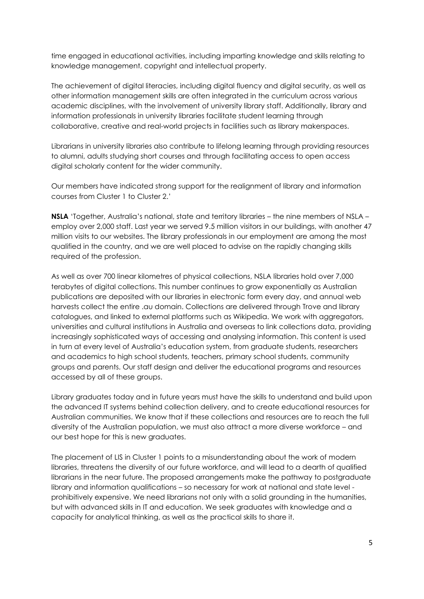time engaged in educational activities, including imparting knowledge and skills relating to knowledge management, copyright and intellectual property.

The achievement of digital literacies, including digital fluency and digital security, as well as other information management skills are often integrated in the curriculum across various academic disciplines, with the involvement of university library staff. Additionally, library and information professionals in university libraries facilitate student learning through collaborative, creative and real-world projects in facilities such as library makerspaces.

Librarians in university libraries also contribute to lifelong learning through providing resources to alumni, adults studying short courses and through facilitating access to open access digital scholarly content for the wider community.

Our members have indicated strong support for the realignment of library and information courses from Cluster 1 to Cluster 2.'

**NSLA** 'Together, Australia's national, state and territory libraries – the nine members of NSLA – employ over 2,000 staff. Last year we served 9.5 million visitors in our buildings, with another 47 million visits to our websites. The library professionals in our employment are among the most qualified in the country, and we are well placed to advise on the rapidly changing skills required of the profession.

As well as over 700 linear kilometres of physical collections, NSLA libraries hold over 7,000 terabytes of digital collections. This number continues to grow exponentially as Australian publications are deposited with our libraries in electronic form every day, and annual web harvests collect the entire .au domain. Collections are delivered through Trove and library catalogues, and linked to external platforms such as Wikipedia. We work with aggregators, universities and cultural institutions in Australia and overseas to link collections data, providing increasingly sophisticated ways of accessing and analysing information. This content is used in turn at every level of Australia's education system, from graduate students, researchers and academics to high school students, teachers, primary school students, community groups and parents. Our staff design and deliver the educational programs and resources accessed by all of these groups.

Library graduates today and in future years must have the skills to understand and build upon the advanced IT systems behind collection delivery, and to create educational resources for Australian communities. We know that if these collections and resources are to reach the full diversity of the Australian population, we must also attract a more diverse workforce – and our best hope for this is new graduates.

The placement of LIS in Cluster 1 points to a misunderstanding about the work of modern libraries, threatens the diversity of our future workforce, and will lead to a dearth of qualified librarians in the near future. The proposed arrangements make the pathway to postgraduate library and information qualifications – so necessary for work at national and state level prohibitively expensive. We need librarians not only with a solid grounding in the humanities, but with advanced skills in IT and education. We seek graduates with knowledge and a capacity for analytical thinking, as well as the practical skills to share it.